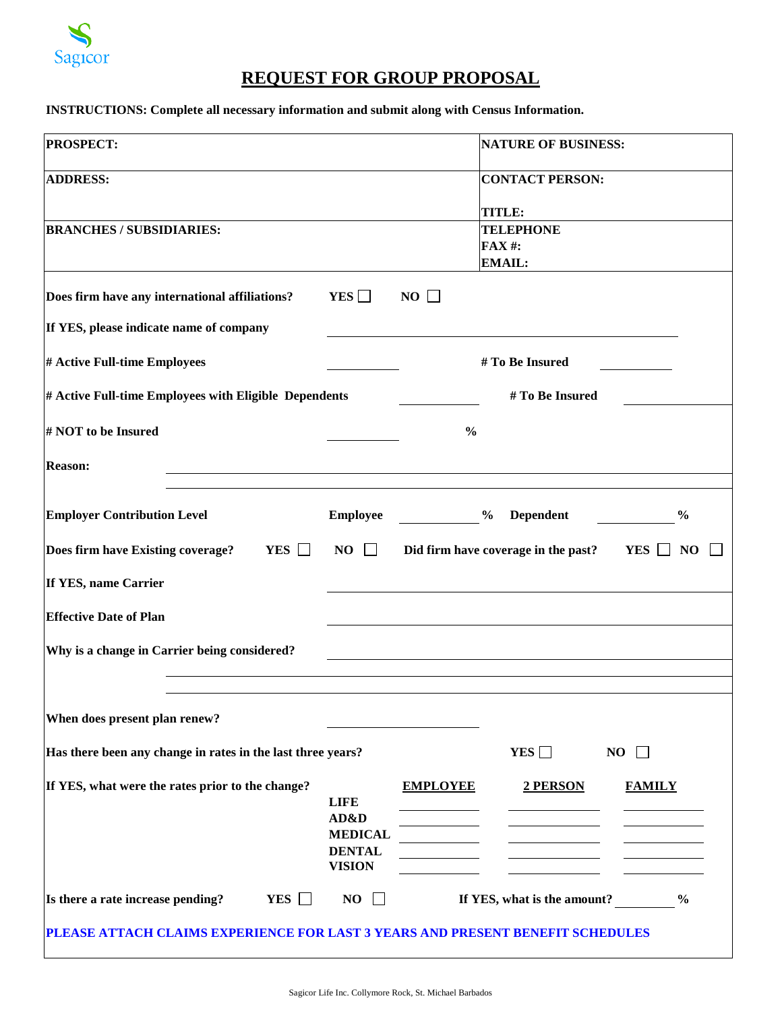

## **REQUEST FOR GROUP PROPOSAL**

**INSTRUCTIONS: Complete all necessary information and submit along with Census Information.**

| <b>PROSPECT:</b>                                                               |                        | <b>NATURE OF BUSINESS:</b> |                                     |               |
|--------------------------------------------------------------------------------|------------------------|----------------------------|-------------------------------------|---------------|
| <b>ADDRESS:</b>                                                                | <b>CONTACT PERSON:</b> |                            |                                     |               |
|                                                                                |                        |                            | <b>TITLE:</b>                       |               |
| <b>BRANCHES / SUBSIDIARIES:</b>                                                | <b>TELEPHONE</b>       |                            |                                     |               |
|                                                                                | <b>FAX#:</b>           |                            |                                     |               |
|                                                                                |                        |                            | <b>EMAIL:</b>                       |               |
| Does firm have any international affiliations?                                 | YES                    | NO                         |                                     |               |
| If YES, please indicate name of company                                        |                        |                            |                                     |               |
| # Active Full-time Employees                                                   |                        |                            | # To Be Insured                     |               |
| # Active Full-time Employees with Eligible Dependents                          |                        | # To Be Insured            |                                     |               |
| # NOT to be Insured                                                            | $\frac{6}{6}$          |                            |                                     |               |
| <b>Reason:</b>                                                                 |                        |                            |                                     |               |
| <b>Employer Contribution Level</b>                                             | <b>Employee</b>        |                            | $\frac{6}{9}$<br><b>Dependent</b>   | $\frac{0}{0}$ |
| Does firm have Existing coverage?<br>YES $\Box$                                | NO<br>$\perp$          |                            | Did firm have coverage in the past? | $YES \t{No}$  |
| If YES, name Carrier                                                           |                        |                            |                                     |               |
| <b>Effective Date of Plan</b>                                                  |                        |                            |                                     |               |
| Why is a change in Carrier being considered?                                   |                        |                            |                                     |               |
| When does present plan renew?                                                  |                        |                            |                                     |               |
| Has there been any change in rates in the last three years?                    |                        |                            | YES $\Box$                          | NO<br>$\perp$ |
|                                                                                |                        |                            |                                     |               |
| If YES, what were the rates prior to the change?                               | <b>LIFE</b>            | <b>EMPLOYEE</b>            | 2 PERSON                            | <b>FAMILY</b> |
|                                                                                | AD&D<br><b>MEDICAL</b> |                            |                                     |               |
|                                                                                | <b>DENTAL</b>          |                            |                                     |               |
|                                                                                | <b>VISION</b>          |                            |                                     |               |
| YES $\Box$<br>Is there a rate increase pending?                                | $NO \square$           |                            | If YES, what is the amount?         | $\frac{6}{6}$ |
| PLEASE ATTACH CLAIMS EXPERIENCE FOR LAST 3 YEARS AND PRESENT BENEFIT SCHEDULES |                        |                            |                                     |               |